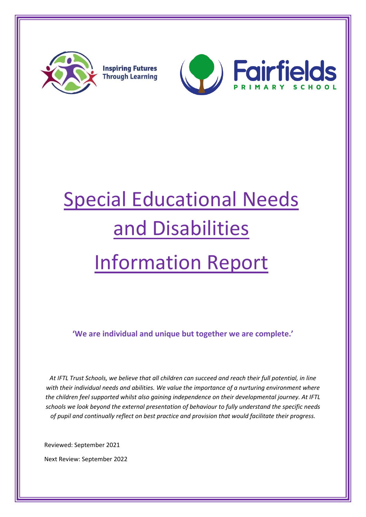

**Inspiring Futures Through Learning** 



# Special Educational Needs and Disabilities Information Report

**'We are individual and unique but together we are complete.'**

*At IFTL Trust Schools, we believe that all children can succeed and reach their full potential, in line with their individual needs and abilities. We value the importance of a nurturing environment where the children feel supported whilst also gaining independence on their developmental journey. At IFTL schools we look beyond the external presentation of behaviour to fully understand the specific needs of pupil and continually reflect on best practice and provision that would facilitate their progress.* 

Reviewed: September 2021

Next Review: September 2022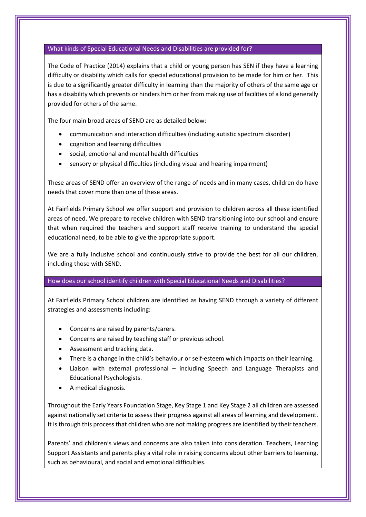#### What kinds of Special Educational Needs and Disabilities are provided for?

The Code of Practice (2014) explains that a child or young person has SEN if they have a learning difficulty or disability which calls for special educational provision to be made for him or her. This is due to a significantly greater difficulty in learning than the majority of others of the same age or has a disability which prevents or hinders him or her from making use of facilities of a kind generally provided for others of the same.

The four main broad areas of SEND are as detailed below:

- communication and interaction difficulties (including autistic spectrum disorder)
- cognition and learning difficulties
- social, emotional and mental health difficulties
- sensory or physical difficulties (including visual and hearing impairment)

These areas of SEND offer an overview of the range of needs and in many cases, children do have needs that cover more than one of these areas.

At Fairfields Primary School we offer support and provision to children across all these identified areas of need. We prepare to receive children with SEND transitioning into our school and ensure that when required the teachers and support staff receive training to understand the special educational need, to be able to give the appropriate support.

We are a fully inclusive school and continuously strive to provide the best for all our children, including those with SEND.

#### How does our school identify children with Special Educational Needs and Disabilities?

At Fairfields Primary School children are identified as having SEND through a variety of different strategies and assessments including:

- Concerns are raised by parents/carers.
- Concerns are raised by teaching staff or previous school.
- Assessment and tracking data.
- There is a change in the child's behaviour or self-esteem which impacts on their learning.
- Liaison with external professional including Speech and Language Therapists and Educational Psychologists.
- A medical diagnosis.

Throughout the Early Years Foundation Stage, Key Stage 1 and Key Stage 2 all children are assessed against nationally set criteria to assess their progress against all areas of learning and development. It is through this process that children who are not making progress are identified by their teachers.

Parents' and children's views and concerns are also taken into consideration. Teachers, Learning Support Assistants and parents play a vital role in raising concerns about other barriers to learning, such as behavioural, and social and emotional difficulties.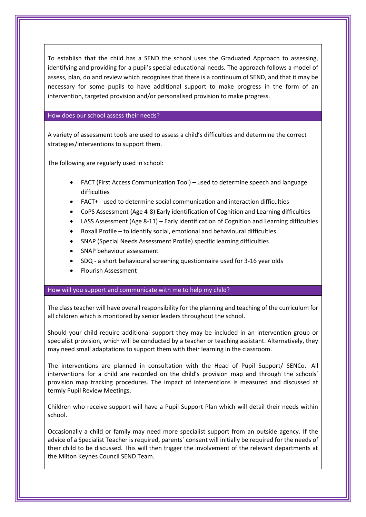To establish that the child has a SEND the school uses the Graduated Approach to assessing, identifying and providing for a pupil's special educational needs. The approach follows a model of assess, plan, do and review which recognises that there is a continuum of SEND, and that it may be necessary for some pupils to have additional support to make progress in the form of an intervention, targeted provision and/or personalised provision to make progress.

#### How does our school assess their needs?

A variety of assessment tools are used to assess a child's difficulties and determine the correct strategies/interventions to support them.

The following are regularly used in school:

- FACT (First Access Communication Tool) used to determine speech and language difficulties
- FACT+ used to determine social communication and interaction difficulties
- CoPS Assessment (Age 4-8) Early identification of Cognition and Learning difficulties
- LASS Assessment (Age 8-11) Early identification of Cognition and Learning difficulties
- Boxall Profile to identify social, emotional and behavioural difficulties
- SNAP (Special Needs Assessment Profile) specific learning difficulties
- SNAP behaviour assessment
- SDQ a short behavioural screening questionnaire used for 3-16 year olds
- Flourish Assessment

#### How will you support and communicate with me to help my child?

The class teacher will have overall responsibility for the planning and teaching of the curriculum for all children which is monitored by senior leaders throughout the school.

Should your child require additional support they may be included in an intervention group or specialist provision, which will be conducted by a teacher or teaching assistant. Alternatively, they may need small adaptations to support them with their learning in the classroom.

The interventions are planned in consultation with the Head of Pupil Support/ SENCo. All interventions for a child are recorded on the child's provision map and through the schools' provision map tracking procedures. The impact of interventions is measured and discussed at termly Pupil Review Meetings.

Children who receive support will have a Pupil Support Plan which will detail their needs within school.

Occasionally a child or family may need more specialist support from an outside agency. If the advice of a Specialist Teacher is required, parents` consent will initially be required for the needs of their child to be discussed. This will then trigger the involvement of the relevant departments at the Milton Keynes Council SEND Team.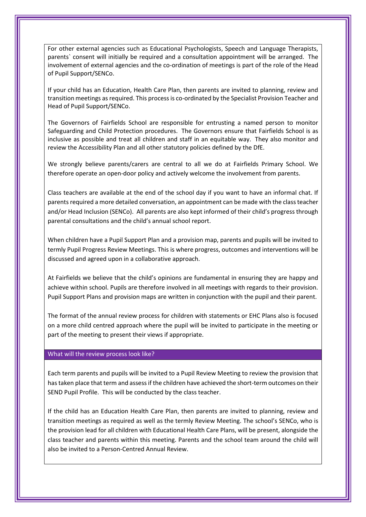For other external agencies such as Educational Psychologists, Speech and Language Therapists, parents` consent will initially be required and a consultation appointment will be arranged. The involvement of external agencies and the co-ordination of meetings is part of the role of the Head of Pupil Support/SENCo.

If your child has an Education, Health Care Plan, then parents are invited to planning, review and transition meetings as required. This process is co-ordinated by the Specialist Provision Teacher and Head of Pupil Support/SENCo.

The Governors of Fairfields School are responsible for entrusting a named person to monitor Safeguarding and Child Protection procedures. The Governors ensure that Fairfields School is as inclusive as possible and treat all children and staff in an equitable way. They also monitor and review the Accessibility Plan and all other statutory policies defined by the DfE.

We strongly believe parents/carers are central to all we do at Fairfields Primary School. We therefore operate an open-door policy and actively welcome the involvement from parents.

Class teachers are available at the end of the school day if you want to have an informal chat. If parents required a more detailed conversation, an appointment can be made with the class teacher and/or Head Inclusion (SENCo). All parents are also kept informed of their child's progress through parental consultations and the child's annual school report.

When children have a Pupil Support Plan and a provision map, parents and pupils will be invited to termly Pupil Progress Review Meetings. This is where progress, outcomes and interventions will be discussed and agreed upon in a collaborative approach.

At Fairfields we believe that the child's opinions are fundamental in ensuring they are happy and achieve within school. Pupils are therefore involved in all meetings with regards to their provision. Pupil Support Plans and provision maps are written in conjunction with the pupil and their parent.

The format of the annual review process for children with statements or EHC Plans also is focused on a more child centred approach where the pupil will be invited to participate in the meeting or part of the meeting to present their views if appropriate.

#### What will the review process look like?

Each term parents and pupils will be invited to a Pupil Review Meeting to review the provision that has taken place that term and assess if the children have achieved the short-term outcomes on their SEND Pupil Profile. This will be conducted by the class teacher.

If the child has an Education Health Care Plan, then parents are invited to planning, review and transition meetings as required as well as the termly Review Meeting. The school's SENCo, who is the provision lead for all children with Educational Health Care Plans, will be present, alongside the class teacher and parents within this meeting. Parents and the school team around the child will also be invited to a Person-Centred Annual Review.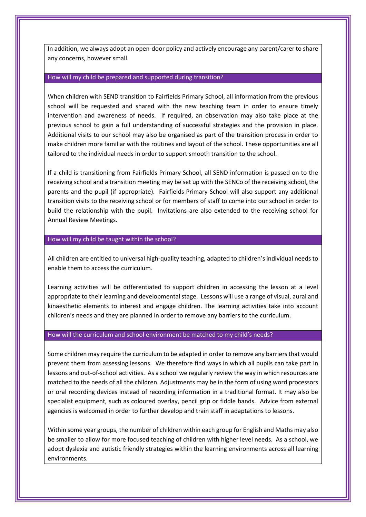In addition, we always adopt an open-door policy and actively encourage any parent/carer to share any concerns, however small.

#### How will my child be prepared and supported during transition?

When children with SEND transition to Fairfields Primary School, all information from the previous school will be requested and shared with the new teaching team in order to ensure timely intervention and awareness of needs. If required, an observation may also take place at the previous school to gain a full understanding of successful strategies and the provision in place. Additional visits to our school may also be organised as part of the transition process in order to make children more familiar with the routines and layout of the school. These opportunities are all tailored to the individual needs in order to support smooth transition to the school.

If a child is transitioning from Fairfields Primary School, all SEND information is passed on to the receiving school and a transition meeting may be set up with the SENCo of the receiving school, the parents and the pupil (if appropriate). Fairfields Primary School will also support any additional transition visits to the receiving school or for members of staff to come into our school in order to build the relationship with the pupil. Invitations are also extended to the receiving school for Annual Review Meetings.

### How will my child be taught within the school?

All children are entitled to universal high-quality teaching, adapted to children's individual needs to enable them to access the curriculum.

Learning activities will be differentiated to support children in accessing the lesson at a level appropriate to their learning and developmental stage. Lessons will use a range of visual, aural and kinaesthetic elements to interest and engage children. The learning activities take into account children's needs and they are planned in order to remove any barriers to the curriculum.

#### How will the curriculum and school environment be matched to my child's needs?

Some children may require the curriculum to be adapted in order to remove any barriers that would prevent them from assessing lessons. We therefore find ways in which all pupils can take part in lessons and out-of-school activities. As a school we regularly review the way in which resources are matched to the needs of all the children. Adjustments may be in the form of using word processors or oral recording devices instead of recording information in a traditional format. It may also be specialist equipment, such as coloured overlay, pencil grip or fiddle bands. Advice from external agencies is welcomed in order to further develop and train staff in adaptations to lessons.

Within some year groups, the number of children within each group for English and Maths may also be smaller to allow for more focused teaching of children with higher level needs. As a school, we adopt dyslexia and autistic friendly strategies within the learning environments across all learning environments.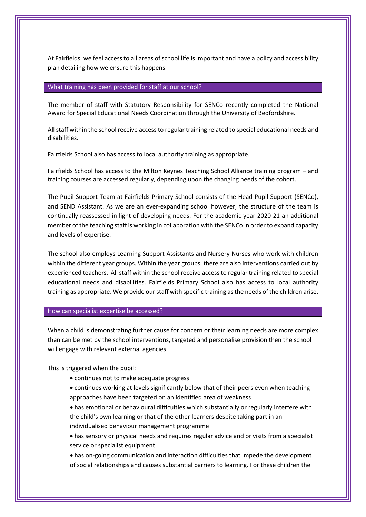At Fairfields, we feel access to all areas of school life is important and have a policy and accessibility plan detailing how we ensure this happens.

#### What training has been provided for staff at our school?

The member of staff with Statutory Responsibility for SENCo recently completed the National Award for Special Educational Needs Coordination through the University of Bedfordshire.

All staff within the school receive access to regular training related to special educational needs and disabilities.

Fairfields School also has access to local authority training as appropriate.

Fairfields School has access to the Milton Keynes Teaching School Alliance training program – and training courses are accessed regularly, depending upon the changing needs of the cohort.

The Pupil Support Team at Fairfields Primary School consists of the Head Pupil Support (SENCo), and SEND Assistant. As we are an ever-expanding school however, the structure of the team is continually reassessed in light of developing needs. For the academic year 2020-21 an additional member of the teaching staff is working in collaboration with the SENCo in order to expand capacity and levels of expertise.

The school also employs Learning Support Assistants and Nursery Nurses who work with children within the different year groups. Within the year groups, there are also interventions carried out by experienced teachers. All staff within the school receive access to regular training related to special educational needs and disabilities. Fairfields Primary School also has access to local authority training as appropriate. We provide our staff with specific training as the needs of the children arise.

#### How can specialist expertise be accessed?

When a child is demonstrating further cause for concern or their learning needs are more complex than can be met by the school interventions, targeted and personalise provision then the school will engage with relevant external agencies.

This is triggered when the pupil:

- continues not to make adequate progress
- continues working at levels significantly below that of their peers even when teaching approaches have been targeted on an identified area of weakness
- has emotional or behavioural difficulties which substantially or regularly interfere with the child's own learning or that of the other learners despite taking part in an individualised behaviour management programme
- has sensory or physical needs and requires regular advice and or visits from a specialist service or specialist equipment
- has on-going communication and interaction difficulties that impede the development of social relationships and causes substantial barriers to learning. For these children the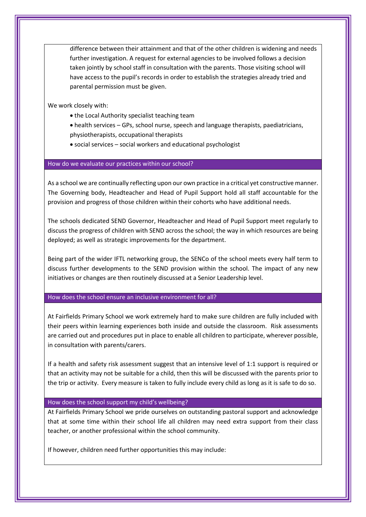difference between their attainment and that of the other children is widening and needs further investigation. A request for external agencies to be involved follows a decision taken jointly by school staff in consultation with the parents. Those visiting school will have access to the pupil's records in order to establish the strategies already tried and parental permission must be given.

We work closely with:

- the Local Authority specialist teaching team
- health services GPs, school nurse, speech and language therapists, paediatricians, physiotherapists, occupational therapists
- social services social workers and educational psychologist

#### How do we evaluate our practices within our school?

As a school we are continually reflecting upon our own practice in a critical yet constructive manner. The Governing body, Headteacher and Head of Pupil Support hold all staff accountable for the provision and progress of those children within their cohorts who have additional needs.

The schools dedicated SEND Governor, Headteacher and Head of Pupil Support meet regularly to discuss the progress of children with SEND across the school; the way in which resources are being deployed; as well as strategic improvements for the department.

Being part of the wider IFTL networking group, the SENCo of the school meets every half term to discuss further developments to the SEND provision within the school. The impact of any new initiatives or changes are then routinely discussed at a Senior Leadership level.

How does the school ensure an inclusive environment for all?

At Fairfields Primary School we work extremely hard to make sure children are fully included with their peers within learning experiences both inside and outside the classroom. Risk assessments are carried out and procedures put in place to enable all children to participate, wherever possible, in consultation with parents/carers.

If a health and safety risk assessment suggest that an intensive level of 1:1 support is required or that an activity may not be suitable for a child, then this will be discussed with the parents prior to the trip or activity. Every measure is taken to fully include every child as long as it is safe to do so.

#### How does the school support my child's wellbeing?

At Fairfields Primary School we pride ourselves on outstanding pastoral support and acknowledge that at some time within their school life all children may need extra support from their class teacher, or another professional within the school community.

If however, children need further opportunities this may include: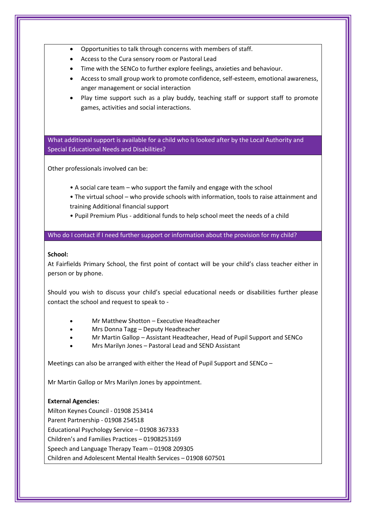- Opportunities to talk through concerns with members of staff.
- Access to the Cura sensory room or Pastoral Lead
- Time with the SENCo to further explore feelings, anxieties and behaviour.
- Access to small group work to promote confidence, self-esteem, emotional awareness, anger management or social interaction
- Play time support such as a play buddy, teaching staff or support staff to promote games, activities and social interactions.

What additional support is available for a child who is looked after by the Local Authority and Special Educational Needs and Disabilities?

Other professionals involved can be:

- A social care team who support the family and engage with the school
- The virtual school who provide schools with information, tools to raise attainment and training Additional financial support
- Pupil Premium Plus additional funds to help school meet the needs of a child

Who do I contact if I need further support or information about the provision for my child?

#### **School:**

At Fairfields Primary School, the first point of contact will be your child's class teacher either in person or by phone.

Should you wish to discuss your child's special educational needs or disabilities further please contact the school and request to speak to -

- Mr Matthew Shotton Executive Headteacher
- Mrs Donna Tagg Deputy Headteacher
- Mr Martin Gallop Assistant Headteacher, Head of Pupil Support and SENCo
- Mrs Marilyn Jones Pastoral Lead and SEND Assistant

Meetings can also be arranged with either the Head of Pupil Support and SENCo –

Mr Martin Gallop or Mrs Marilyn Jones by appointment.

# **External Agencies:**

Milton Keynes Council - 01908 253414 Parent Partnership - 01908 254518 Educational Psychology Service – 01908 367333 Children's and Families Practices – 01908253169 Speech and Language Therapy Team – 01908 209305 Children and Adolescent Mental Health Services – 01908 607501